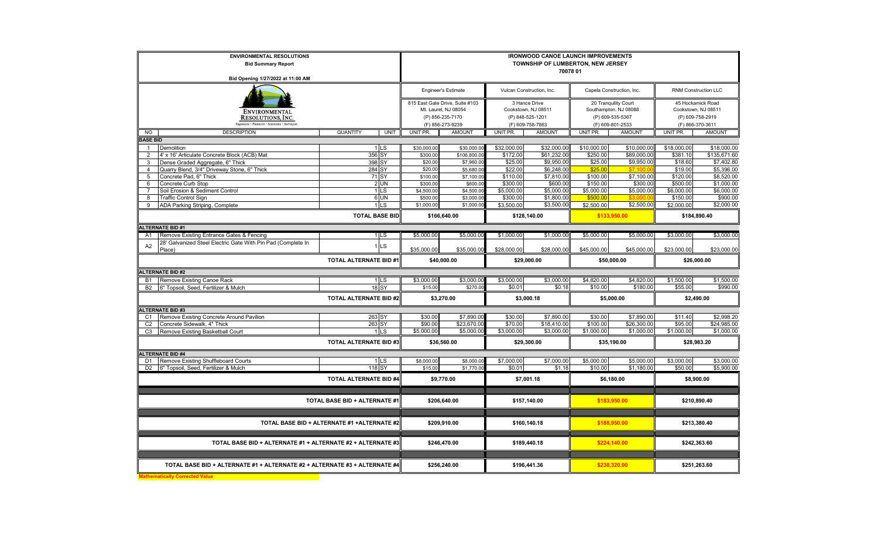| <b>ENVIRONMENTAL RESOLUTIONS</b><br><b>Bid Summary Report</b>                         |                               |                  | <b>IRONWOOD CANOE LAUNCH IMPROVEMENTS</b><br>TOWNSHIP OF LUMBERTON, NEW JERSEY<br>70078 01 |                                          |                                         |                            |                                           |                            |                                         |                            |  |  |
|---------------------------------------------------------------------------------------|-------------------------------|------------------|--------------------------------------------------------------------------------------------|------------------------------------------|-----------------------------------------|----------------------------|-------------------------------------------|----------------------------|-----------------------------------------|----------------------------|--|--|
| Bid Opening 1/27/2022 at 11:00 AM                                                     |                               |                  |                                                                                            |                                          |                                         |                            |                                           |                            |                                         |                            |  |  |
|                                                                                       |                               |                  |                                                                                            | <b>Engineer's Estimate</b>               | Vulcan Construction, Inc.               |                            | Capela Construction, Inc.                 |                            | RNM Construction LLC                    |                            |  |  |
|                                                                                       |                               |                  |                                                                                            | 815 East Gate Drive, Suite #103          |                                         | 3 Hance Drive              |                                           | 20 Tranquility Court       |                                         | 45 Hockamick Road          |  |  |
| <b>ENVIRONMENTAL</b><br>RESOLUTIONS, INC.                                             |                               |                  |                                                                                            | Mt. Laurel, NJ 08054<br>(P) 856-235-7170 | Cookstown, NJ 08511<br>(P) 848-525-1201 |                            | Southampton, NJ 08088<br>(P) 609-535-5367 |                            | Cookstown, NJ 08511<br>(P) 609-758-2919 |                            |  |  |
| Engineers · Planners · Scientists · Surveyors                                         |                               |                  |                                                                                            | (F) 856-273-9239                         | (F) 609-758-7863                        |                            | (F) 609-801-2533                          |                            | (F) 866-370-3611                        |                            |  |  |
| NO<br><b>DESCRIPTION</b>                                                              | <b>QUANTITY</b>               | <b>UNIT</b>      | UNIT PR.                                                                                   | <b>AMOUNT</b>                            | UNIT PR.                                | <b>AMOUNT</b>              | UNIT PR.                                  | <b>AMOUNT</b>              | UNIT PR.                                | <b>AMOUNT</b>              |  |  |
| <b>BASE BID</b>                                                                       |                               |                  |                                                                                            |                                          |                                         |                            |                                           |                            |                                         |                            |  |  |
| <b>Demolition</b><br>$\mathbf{1}$<br>$\overline{2}$                                   |                               | $1$ LS           | \$30,000.00                                                                                | \$30,000.00                              | \$32,000.00                             | \$32,000.00<br>\$61,232.00 | \$10,000.00                               | \$10,000.00<br>\$89,000.00 | \$18,000.00                             | \$18,000.00                |  |  |
| 4' x 16' Articulate Concrete Block (ACB) Mat<br>Dense Graded Aggregate, 6" Thick<br>3 |                               | 356 SY<br>398 SY | \$300.00<br>\$20.00                                                                        | \$106,800.00<br>\$7,960.00               | \$172.00<br>\$25.00                     | \$9,950.00                 | \$250.00<br>\$25.00                       | \$9,950.00                 | \$381.10<br>\$18.60                     | \$135,671.60<br>\$7,402.80 |  |  |
| Quarry Blend, 3/4" Driveway Stone, 6" Thick<br>$\overline{4}$                         |                               | 284 SY           | \$20.00                                                                                    | \$5,680.00                               | \$22.00                                 | \$6,248.00                 | \$25.00                                   | \$7,100                    | \$19.00                                 | \$5,396.00                 |  |  |
| Concrete Pad, 6" Thick<br>5                                                           |                               | 71 SY            | \$100.00                                                                                   | \$7,100.00                               | \$110.00                                | \$7,810.00                 | \$100.00                                  | \$7,100.00                 | \$120.00                                | \$8,520.00                 |  |  |
| Concrete Curb Stop<br>6                                                               |                               | 2 UN             | \$300.00                                                                                   | \$600.00                                 | \$300.00                                | \$600.00                   | \$150.00                                  | \$300.00                   | \$500.00                                | \$1,000.00                 |  |  |
| Soil Erosion & Sediment Control                                                       |                               | $1$ LS           | \$4,500.00                                                                                 | \$4,500.00                               | \$5,000.00                              | \$5,000.00                 | \$5,000.00                                | \$5,000.00                 | \$6,000.00                              | \$6,000.00                 |  |  |
| 8<br><b>Traffic Control Sign</b>                                                      |                               | 6 UN             | \$500.00                                                                                   | \$3,000.00                               | \$300.00                                | \$1,800.00                 | \$500.00                                  |                            | \$150.00                                | \$900.00                   |  |  |
| ADA Parking Striping, Complete<br>9                                                   |                               | 1 <sub>LS</sub>  | \$1,000.00                                                                                 | \$1,000.00                               | \$3,500.00                              | \$3,500.00                 | \$2,500.00                                | \$2,500.00                 | \$2,000.00                              | \$2,000.00                 |  |  |
| <b>TOTAL BASE BID</b>                                                                 |                               |                  |                                                                                            | \$166,640.00                             |                                         | \$128,140.00               |                                           | \$133,950.00               |                                         | \$184,890.40               |  |  |
| <b>ALTERNATE BID #1</b>                                                               |                               |                  |                                                                                            |                                          |                                         |                            |                                           |                            |                                         |                            |  |  |
| Remove Existing Entrance Gates & Fencing<br>A <sub>1</sub>                            |                               | 1LS              | \$5,000.00                                                                                 | \$5,000.00                               | \$1,000.00                              | \$1,000.00                 | \$5,000.00                                | \$5,000.00                 | \$3,000.00                              | \$3,000.00                 |  |  |
| 28' Galvanized Steel Electric Gate With Pin Pad (Complete In<br>A2<br>Place)          |                               | <b>LS</b>        | \$35,000.00                                                                                | \$35,000.00                              | \$28,000.00                             | \$28,000.00                | \$45,000.00                               | \$45,000.00                | \$23,000.00                             | \$23,000.00                |  |  |
|                                                                                       | <b>TOTAL ALTERNATE BID #1</b> |                  | \$40,000.00                                                                                |                                          | \$29,000.00                             |                            | \$50,000.00                               |                            | \$26,000.00                             |                            |  |  |
| <b>ALTERNATE BID #2</b>                                                               |                               |                  |                                                                                            |                                          |                                         |                            |                                           |                            |                                         |                            |  |  |
| Remove Existing Canoe Rack<br><b>B1</b>                                               |                               | 1 <sub>LS</sub>  | \$3,000.00                                                                                 | \$3,000.00                               | \$3,000.00                              | \$3,000.00                 | \$4,820.00                                | \$4,820.00                 | \$1,500.00                              | \$1,500.00                 |  |  |
| 6" Topsoil, Seed, Fertilizer & Mulch<br><b>B2</b>                                     |                               | 18 SY            | \$15.00                                                                                    | \$270.00                                 | \$0.01                                  | \$0.18                     | \$10.00                                   | \$180.00                   | \$55.00                                 | \$990.00                   |  |  |
| <b>TOTAL ALTERNATE BID #2</b>                                                         |                               | \$3,270.00       |                                                                                            | \$3,000.18                               |                                         | \$5,000.00                 |                                           | \$2,490.00                 |                                         |                            |  |  |
| <b>ALTERNATE BID #3</b>                                                               |                               |                  |                                                                                            |                                          |                                         |                            |                                           |                            |                                         |                            |  |  |
| Remove Existing Concrete Around Pavilion<br>C1<br>Concrete Sidewalk, 4" Thick         |                               | 263 SY<br>263 SY | \$30.00<br>\$90.00                                                                         | \$7,890.00<br>\$23,670.00                | \$30.00<br>\$70.00                      | \$7,890.00<br>\$18,410.00  | \$30.00<br>\$100.00                       | \$7,890.00<br>\$26,300.00  | \$11.40<br>\$95.00                      | \$2,998.20<br>\$24,985.00  |  |  |
| C <sub>2</sub><br>C <sub>3</sub><br>Remove Existing Basketball Court                  |                               | 1 <sub>LS</sub>  | \$5,000.00                                                                                 | \$5,000.00                               | \$3,000.00                              | \$3,000.00                 | \$1,000.00                                | \$1,000.00                 | \$1,000.00                              | \$1,000.00                 |  |  |
|                                                                                       | <b>TOTAL ALTERNATE BID #3</b> |                  | \$36,560.00                                                                                |                                          | \$29,300.00                             |                            | \$35,190.00                               |                            | \$28,983.20                             |                            |  |  |
| <b>ALTERNATE BID #4</b>                                                               |                               |                  |                                                                                            |                                          |                                         |                            |                                           |                            |                                         |                            |  |  |
| Remove Existing Shuffleboard Courts<br>D <sub>1</sub>                                 |                               | 1 <sub>LS</sub>  | \$8,000.00                                                                                 | \$8,000.00                               | \$7,000.00                              | \$7,000.00                 | \$5,000.00                                | \$5,000.00                 | \$3,000.00                              | \$3,000.00                 |  |  |
| 6" Topsoil, Seed, Fertilizer & Mulch<br>D <sub>2</sub>                                |                               | 118 SY           | \$15.00                                                                                    | \$1,770.00                               | \$0.01                                  | \$1.18                     | \$10.00                                   | \$1,180.00                 | \$50.00                                 | \$5,900.00                 |  |  |
| <b>TOTAL ALTERNATE BID #4</b>                                                         |                               |                  | \$9,770.00                                                                                 |                                          | \$7,001.18                              |                            | \$6,180.00                                |                            | \$8,900.00                              |                            |  |  |
| TOTAL BASE BID + ALTERNATE #1                                                         |                               |                  | \$206,640.00                                                                               |                                          | \$157,140.00                            |                            | \$183,950.00                              |                            | \$210,890.40                            |                            |  |  |
|                                                                                       |                               |                  |                                                                                            |                                          |                                         |                            |                                           |                            |                                         |                            |  |  |
| TOTAL BASE BID + ALTERNATE #1 +ALTERNATE #2                                           |                               |                  | \$209,910.00                                                                               |                                          | \$160,140.18                            |                            | \$188,950.00                              |                            | \$213,380.40                            |                            |  |  |
| TOTAL BASE BID + ALTERNATE #1 + ALTERNATE #2 + ALTERNATE #3                           |                               |                  | \$246,470.00                                                                               |                                          | \$189,440.18                            |                            | \$224,140.00                              |                            | \$242,363.60                            |                            |  |  |
|                                                                                       |                               |                  |                                                                                            |                                          |                                         |                            |                                           |                            |                                         |                            |  |  |
| TOTAL BASE BID + ALTERNATE #1 + ALTERNATE #2 + ALTERNATE #3 + ALTERNATE #4            |                               |                  |                                                                                            | \$256,240.00<br>\$196,441.36             |                                         |                            |                                           | \$230,320.00               | \$251,263.60                            |                            |  |  |
| thematically Corrected Value                                                          |                               |                  |                                                                                            |                                          |                                         |                            |                                           |                            |                                         |                            |  |  |